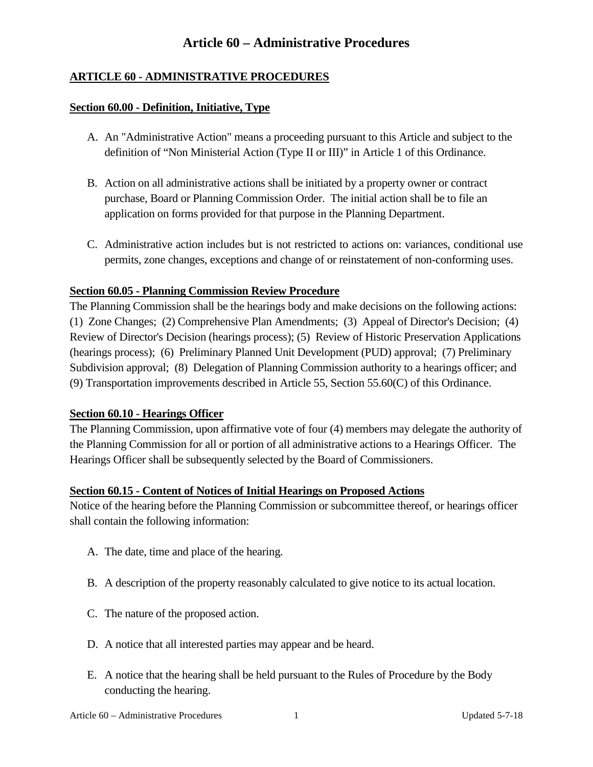### **ARTICLE 60 - ADMINISTRATIVE PROCEDURES**

#### **Section 60.00 - Definition, Initiative, Type**

- A. An "Administrative Action" means a proceeding pursuant to this Article and subject to the definition of "Non Ministerial Action (Type II or III)" in Article 1 of this Ordinance.
- B. Action on all administrative actions shall be initiated by a property owner or contract purchase, Board or Planning Commission Order. The initial action shall be to file an application on forms provided for that purpose in the Planning Department.
- C. Administrative action includes but is not restricted to actions on: variances, conditional use permits, zone changes, exceptions and change of or reinstatement of non-conforming uses.

### **Section 60.05 - Planning Commission Review Procedure**

The Planning Commission shall be the hearings body and make decisions on the following actions: (1) Zone Changes; (2) Comprehensive Plan Amendments; (3) Appeal of Director's Decision; (4) Review of Director's Decision (hearings process); (5) Review of Historic Preservation Applications (hearings process); (6) Preliminary Planned Unit Development (PUD) approval; (7) Preliminary Subdivision approval; (8) Delegation of Planning Commission authority to a hearings officer; and (9) Transportation improvements described in Article 55, Section 55.60(C) of this Ordinance.

#### **Section 60.10 - Hearings Officer**

The Planning Commission, upon affirmative vote of four (4) members may delegate the authority of the Planning Commission for all or portion of all administrative actions to a Hearings Officer. The Hearings Officer shall be subsequently selected by the Board of Commissioners.

#### **Section 60.15 - Content of Notices of Initial Hearings on Proposed Actions**

Notice of the hearing before the Planning Commission or subcommittee thereof, or hearings officer shall contain the following information:

- A. The date, time and place of the hearing.
- B. A description of the property reasonably calculated to give notice to its actual location.
- C. The nature of the proposed action.
- D. A notice that all interested parties may appear and be heard.
- E. A notice that the hearing shall be held pursuant to the Rules of Procedure by the Body conducting the hearing.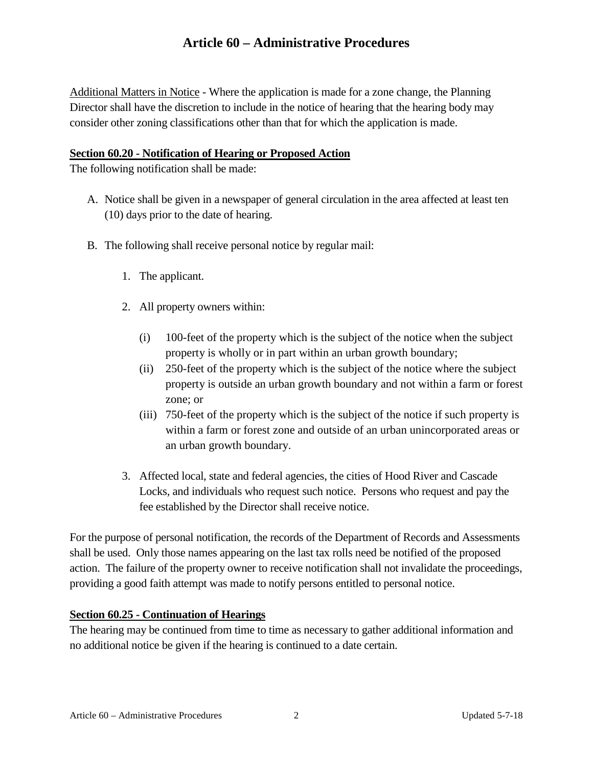Additional Matters in Notice - Where the application is made for a zone change, the Planning Director shall have the discretion to include in the notice of hearing that the hearing body may consider other zoning classifications other than that for which the application is made.

### **Section 60.20 - Notification of Hearing or Proposed Action**

The following notification shall be made:

- A. Notice shall be given in a newspaper of general circulation in the area affected at least ten (10) days prior to the date of hearing.
- B. The following shall receive personal notice by regular mail:
	- 1. The applicant.
	- 2. All property owners within:
		- (i) 100-feet of the property which is the subject of the notice when the subject property is wholly or in part within an urban growth boundary;
		- (ii) 250-feet of the property which is the subject of the notice where the subject property is outside an urban growth boundary and not within a farm or forest zone; or
		- (iii) 750-feet of the property which is the subject of the notice if such property is within a farm or forest zone and outside of an urban unincorporated areas or an urban growth boundary.
	- 3. Affected local, state and federal agencies, the cities of Hood River and Cascade Locks, and individuals who request such notice. Persons who request and pay the fee established by the Director shall receive notice.

For the purpose of personal notification, the records of the Department of Records and Assessments shall be used. Only those names appearing on the last tax rolls need be notified of the proposed action. The failure of the property owner to receive notification shall not invalidate the proceedings, providing a good faith attempt was made to notify persons entitled to personal notice.

## **Section 60.25 - Continuation of Hearings**

The hearing may be continued from time to time as necessary to gather additional information and no additional notice be given if the hearing is continued to a date certain.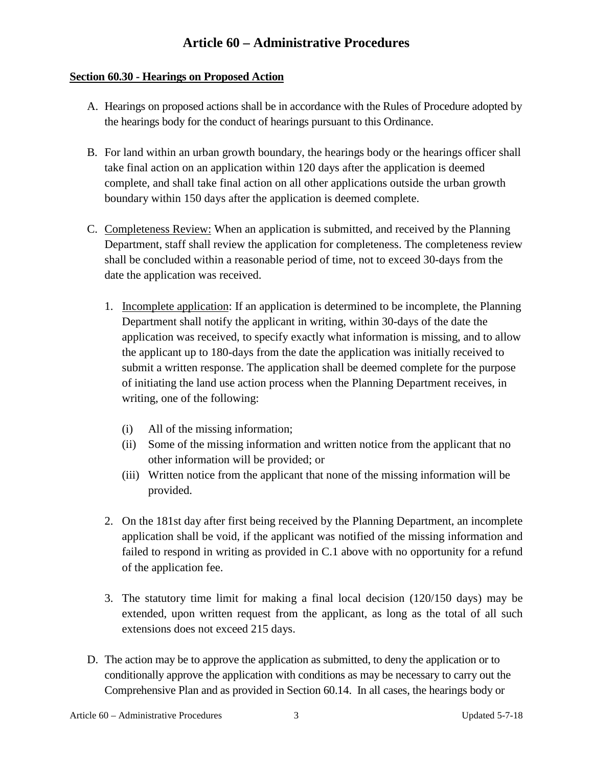### **Section 60.30 - Hearings on Proposed Action**

- A. Hearings on proposed actions shall be in accordance with the Rules of Procedure adopted by the hearings body for the conduct of hearings pursuant to this Ordinance.
- B. For land within an urban growth boundary, the hearings body or the hearings officer shall take final action on an application within 120 days after the application is deemed complete, and shall take final action on all other applications outside the urban growth boundary within 150 days after the application is deemed complete.
- C. Completeness Review: When an application is submitted, and received by the Planning Department, staff shall review the application for completeness. The completeness review shall be concluded within a reasonable period of time, not to exceed 30-days from the date the application was received.
	- 1. Incomplete application: If an application is determined to be incomplete, the Planning Department shall notify the applicant in writing, within 30-days of the date the application was received, to specify exactly what information is missing, and to allow the applicant up to 180-days from the date the application was initially received to submit a written response. The application shall be deemed complete for the purpose of initiating the land use action process when the Planning Department receives, in writing, one of the following:
		- (i) All of the missing information;
		- (ii) Some of the missing information and written notice from the applicant that no other information will be provided; or
		- (iii) Written notice from the applicant that none of the missing information will be provided.
	- 2. On the 181st day after first being received by the Planning Department, an incomplete application shall be void, if the applicant was notified of the missing information and failed to respond in writing as provided in C.1 above with no opportunity for a refund of the application fee.
	- 3. The statutory time limit for making a final local decision (120/150 days) may be extended, upon written request from the applicant, as long as the total of all such extensions does not exceed 215 days.
- D. The action may be to approve the application as submitted, to deny the application or to conditionally approve the application with conditions as may be necessary to carry out the Comprehensive Plan and as provided in Section 60.14. In all cases, the hearings body or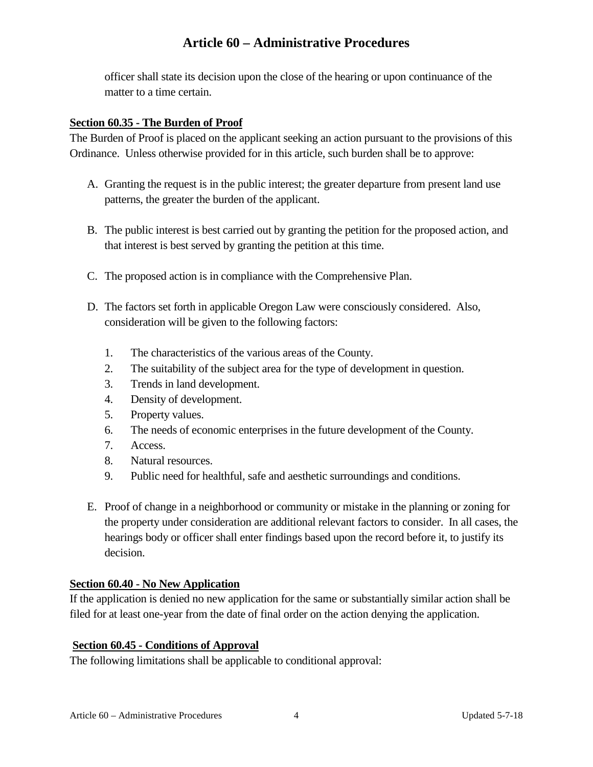officer shall state its decision upon the close of the hearing or upon continuance of the matter to a time certain.

### **Section 60.35 - The Burden of Proof**

The Burden of Proof is placed on the applicant seeking an action pursuant to the provisions of this Ordinance. Unless otherwise provided for in this article, such burden shall be to approve:

- A. Granting the request is in the public interest; the greater departure from present land use patterns, the greater the burden of the applicant.
- B. The public interest is best carried out by granting the petition for the proposed action, and that interest is best served by granting the petition at this time.
- C. The proposed action is in compliance with the Comprehensive Plan.
- D. The factors set forth in applicable Oregon Law were consciously considered. Also, consideration will be given to the following factors:
	- 1. The characteristics of the various areas of the County.
	- 2. The suitability of the subject area for the type of development in question.
	- 3. Trends in land development.
	- 4. Density of development.
	- 5. Property values.
	- 6. The needs of economic enterprises in the future development of the County.
	- 7. Access.
	- 8. Natural resources.
	- 9. Public need for healthful, safe and aesthetic surroundings and conditions.
- E. Proof of change in a neighborhood or community or mistake in the planning or zoning for the property under consideration are additional relevant factors to consider. In all cases, the hearings body or officer shall enter findings based upon the record before it, to justify its decision.

#### **Section 60.40 - No New Application**

If the application is denied no new application for the same or substantially similar action shall be filed for at least one-year from the date of final order on the action denying the application.

#### **Section 60.45 - Conditions of Approval**

The following limitations shall be applicable to conditional approval: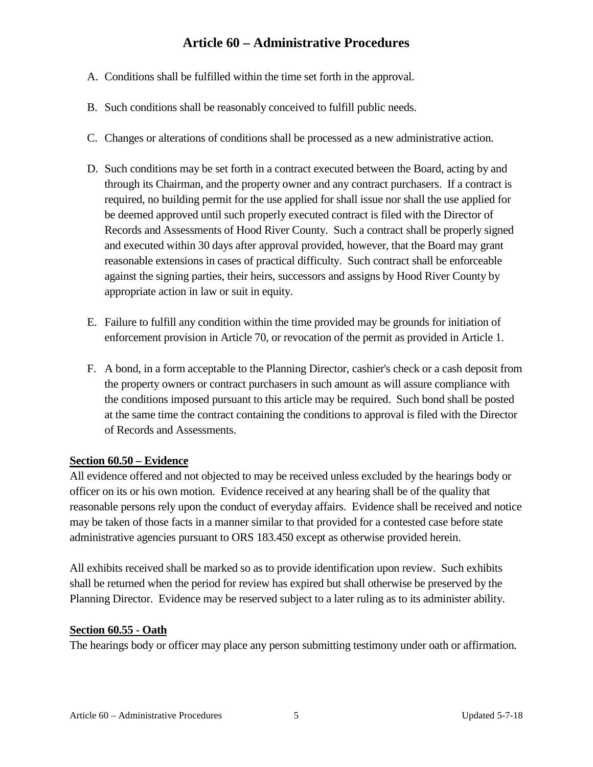- A. Conditions shall be fulfilled within the time set forth in the approval.
- B. Such conditions shall be reasonably conceived to fulfill public needs.
- C. Changes or alterations of conditions shall be processed as a new administrative action.
- D. Such conditions may be set forth in a contract executed between the Board, acting by and through its Chairman, and the property owner and any contract purchasers. If a contract is required, no building permit for the use applied for shall issue nor shall the use applied for be deemed approved until such properly executed contract is filed with the Director of Records and Assessments of Hood River County. Such a contract shall be properly signed and executed within 30 days after approval provided, however, that the Board may grant reasonable extensions in cases of practical difficulty. Such contract shall be enforceable against the signing parties, their heirs, successors and assigns by Hood River County by appropriate action in law or suit in equity.
- E. Failure to fulfill any condition within the time provided may be grounds for initiation of enforcement provision in Article 70, or revocation of the permit as provided in Article 1.
- F. A bond, in a form acceptable to the Planning Director, cashier's check or a cash deposit from the property owners or contract purchasers in such amount as will assure compliance with the conditions imposed pursuant to this article may be required. Such bond shall be posted at the same time the contract containing the conditions to approval is filed with the Director of Records and Assessments.

## **Section 60.50 – Evidence**

All evidence offered and not objected to may be received unless excluded by the hearings body or officer on its or his own motion. Evidence received at any hearing shall be of the quality that reasonable persons rely upon the conduct of everyday affairs. Evidence shall be received and notice may be taken of those facts in a manner similar to that provided for a contested case before state administrative agencies pursuant to ORS 183.450 except as otherwise provided herein.

All exhibits received shall be marked so as to provide identification upon review. Such exhibits shall be returned when the period for review has expired but shall otherwise be preserved by the Planning Director. Evidence may be reserved subject to a later ruling as to its administer ability.

## **Section 60.55 - Oath**

The hearings body or officer may place any person submitting testimony under oath or affirmation.